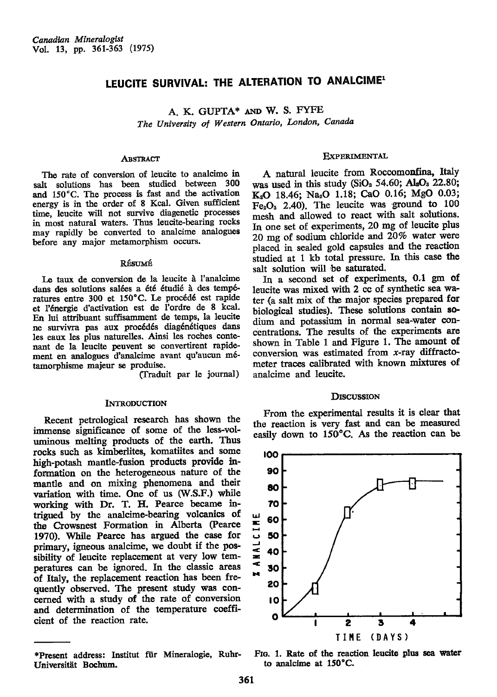# LEUCITE SURVIVAL: THE ALTERATION TO ANALCIME<sup>1</sup>

A. K. GUPTA\* AND W. S. FYFE The University of Western Ontario, London, Canada

## **ABSTRACT**

The rate of conversion of leucite to analcime in salt solutions has been studied between 300 and 150°C. The process is fast and the activation energy is in the order of 8 Kcal. Given sufficient time, leucite will not survive diagenetic processes in most natural waters. Thus leucite-bearing rocks may rapidly be converted to analcime analogues before any major metamorphism occurs.

#### RÉSUMÉ

Le taux de conversion de la leucite à l'analcime dans des solutions salées a été étudié à des températures entre 300 et 150°C. Le procédé est rapide et l'énergie d'activation est de l'ordre de 8 kcal. En lui attribuant suffisamment de temps, la leucite ne survivra pas aux procédés diagénétiques dans les eaux les plus naturelles. Ainsi les roches contenant de la leucite peuvent se convertirent rapidement en analogues d'analcime avant qu'aucun métamorphisme majeur se produise.

(Traduit par le journal)

#### **INTRODUCTION**

Recent petrological research has shown the immense significance of some of the less-voluminous melting products of the earth. Thus rocks such as kimberlites, komatiites and some high-potash mantle-fusion products provide information on the heterogeneous nature of the mantle and on mixing phenomena and their variation with time. One of us (W.S.F.) while working with Dr. T. H. Pearce became intrigued by the analcime-bearing volcanics of the Crowsnest Formation in Alberta (Pearce 1970). While Pearce has argued the case for primary, igneous analcime, we doubt if the possibility of leucite replacement at very low temperatures can be ignored. In the classic areas of Italy, the replacement reaction has been frequently observed. The present study was concerned with a study of the rate of conversion and determination of the temperature coefficient of the reaction rate.

## **EXPERIMENTAL**

A natural leucite from Roccomonfina, Italy was used in this study (SiO<sub>2</sub> 54.60; Al<sub>2</sub>O<sub>3</sub> 22.80; K2O 18.46; Na2O 1.18; CaO 0.16; MgO 0.03;  $Fe<sub>2</sub>O<sub>3</sub>$  2.40). The leucite was ground to 100 mesh and allowed to react with salt solutions. In one set of experiments, 20 mg of leucite plus 20 mg of sodium chloride and 20% water were placed in sealed gold capsules and the reaction studied at 1 kb total pressure. In this case the salt solution will be saturated.

In a second set of experiments, 0.1 gm of leucite was mixed with 2 cc of synthetic sea water (a salt mix of the major species prepared for biological studies). These solutions contain sodium and potassium in normal sea-water concentrations. The results of the experiments are shown in Table 1 and Figure 1. The amount of conversion was estimated from  $x$ -ray diffractometer traces calibrated with known mixtures of analcime and leucite.

### **DISCUSSION**

From the experimental results it is clear that the reaction is very fast and can be measured easily down to 150°C. As the reaction can be



FIG. 1. Rate of the reaction leucite plus sea water to analcime at 150°C.

<sup>\*</sup>Present address: Institut für Mineralogie, Ruhr-Universität Bochum.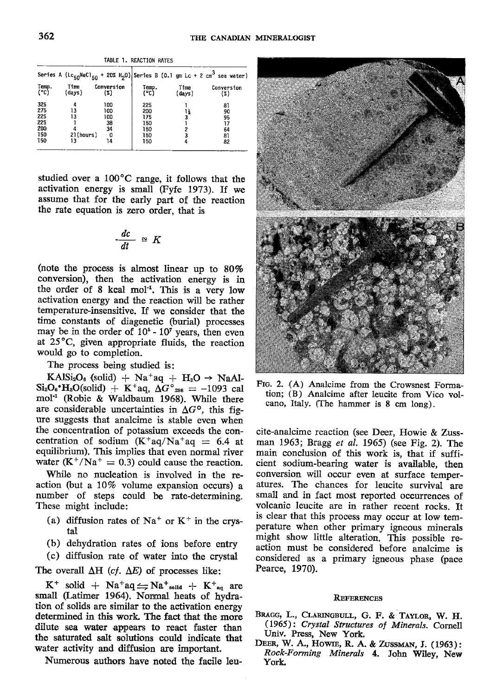|  | ABLE 1. REACTION RATES |  |
|--|------------------------|--|
|  |                        |  |

|                                               |                             |                                          |                                               |                | Series A (LC <sub>50</sub> NaCl <sub>50</sub> + 20% H <sub>2</sub> 0) Series B (0.1 gm Lc + 2 cm <sup>3</sup> sea water) |
|-----------------------------------------------|-----------------------------|------------------------------------------|-----------------------------------------------|----------------|--------------------------------------------------------------------------------------------------------------------------|
| Temp.<br>(°C)                                 | Time<br>(days)              | Conversion<br>(%)                        | Temp.<br>(°C)                                 | Time<br>(days) | Conversion<br>(2)                                                                                                        |
| 325<br>275<br>225<br>225<br>200<br>150<br>150 | 13<br>13<br>21(hours)<br>13 | 100<br>100<br>100<br>38<br>34<br>0<br>14 | 225<br>200<br>175<br>150<br>150<br>150<br>150 | ١ś             | 81<br>90<br>95<br>17<br>64<br>81<br>82                                                                                   |

studied over a 10O'C range, it follows that the activation energy is small (Fyfe 1973). If we assume that for the early part of the reaction the rate equation is zero order, that is

$$
\frac{dc}{dt} \cong K
$$

(note the process is almost linear up to  $80\%$ conversion), then the activation energy is in the order of 8 kcal mol<sup>-1</sup>. This is a very low activation energy and the reaction will be rather temperature-insensitive. If we consider that the time constants of diagenetic (burial) processes may be in the order of  $10<sup>5</sup>$  -  $10<sup>7</sup>$  years, then even at 25"C, given appropriate fluids, the reaction would go to completion.

The process being studied is:

 $KAlSi<sub>2</sub>O<sub>6</sub>$  (solid) + Na<sup>+</sup>aq + H<sub>2</sub>O  $\rightarrow$  NaAl- $\text{Si}_2\text{O}_6 \cdot \text{H}_2\text{O}(\text{solid}) + \text{K}^+ \text{aq}, \Delta G^{\circ}{}_{298} = -1093 \text{ cal}$ mol<sup>-1</sup> (Robie & Waldbaum 1968). While there are considerable uncertainties in  $\Delta G^{\circ}$ , this figure suggests that analcime is stable even when the concentration of potassium exceeds the concentration of sodium  $(K^+aq/Na^+aq) = 6.4$  at equilibrium). This implies that even normal river water  $(K^{\dagger}/Na^{\dagger} = 0.3)$  could cause the reaction.

While no nucleation is involved in the reaction (but a 10% volume expansion occurs) a number of steps could be rate-determining. These might include:

- (a) diffusion rates of  $Na<sup>+</sup>$  or  $K<sup>+</sup>$  in the crystal
- (b) dehydration rates of ions before entry
- (c) diffusion rate of water into the crystal

The overall  $\Delta H$  (cf.  $\Delta E$ ) of processes like:

 $K^+$  solid +  $Na^+aq \rightleftharpoons Na^+_{solld}$  +  $K^+_{aq}$  are small (Latimer 1964). Normal heats of hydration of solids are similar to the activation energy determined in this work. The fact that the more .dilute sea waier appears to react faster than tho saturated salt solutions could indicate that water activity and diffusion are important.

Numerous authors have noted the facile leu-



FIG. 2. (A) Analcime from the Crowsnest Formation; (B) Analcime after leucite from Vico volcano, Italy. (fhe hammer is 8 cm long).

cite-analcime reaction (see Deer, Howie & Zussman 1963; Bragg et al. 1965) (see Fig. 2). The main conclusion of this work is, that if sufficient sodium-bearing water is available, then conversion will occur even at surface temperatures. The chances for leucite surviyal are small and in fact most reported occurrences of volcanic leucite are in rather recent rocks. It is clear that this process may occur at low temperature when other primary igneous minerals might show little alteration. This possible reaction must be considered before analcime is considered as a primary igneous phase (pace Pearce, 1970).

## **REFERENCES**

- BRAGG, L., CLARINGBULL, G. F. & TAYLOR, W. H. (1965): Crystal Structures of Minerals. Cornell Univ. Press, New York
- DEER, W. A., HOWIE, R. A. & ZUSSMAN, J. (1963): Rock-Forming Minerals 4, John Wiley, New York.